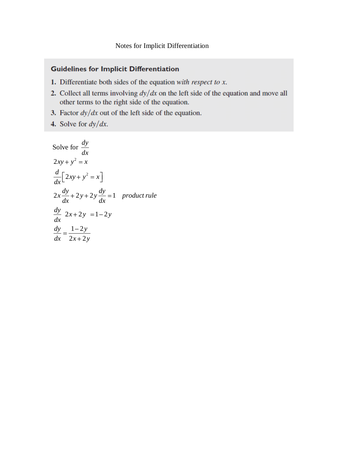## **Guidelines for Implicit Differentiation**

- 1. Differentiate both sides of the equation with respect to  $x$ .
- 2. Collect all terms involving  $dy/dx$  on the left side of the equation and move all other terms to the right side of the equation.
- 3. Factor  $dy/dx$  out of the left side of the equation.
- 4. Solve for  $dy/dx$ .

Solve for 
$$
\frac{dy}{dx}
$$
  
\n $2xy + y^2 = x$   
\n $\frac{d}{dx} [2xy + y^2 = x]$   
\n $2x \frac{dy}{dx} + 2y + 2y \frac{dy}{dx} = 1$  product rule  
\n $\frac{dy}{dx} 2x + 2y = 1 - 2y$   
\n $\frac{dy}{dx} = \frac{1 - 2y}{2x + 2y}$